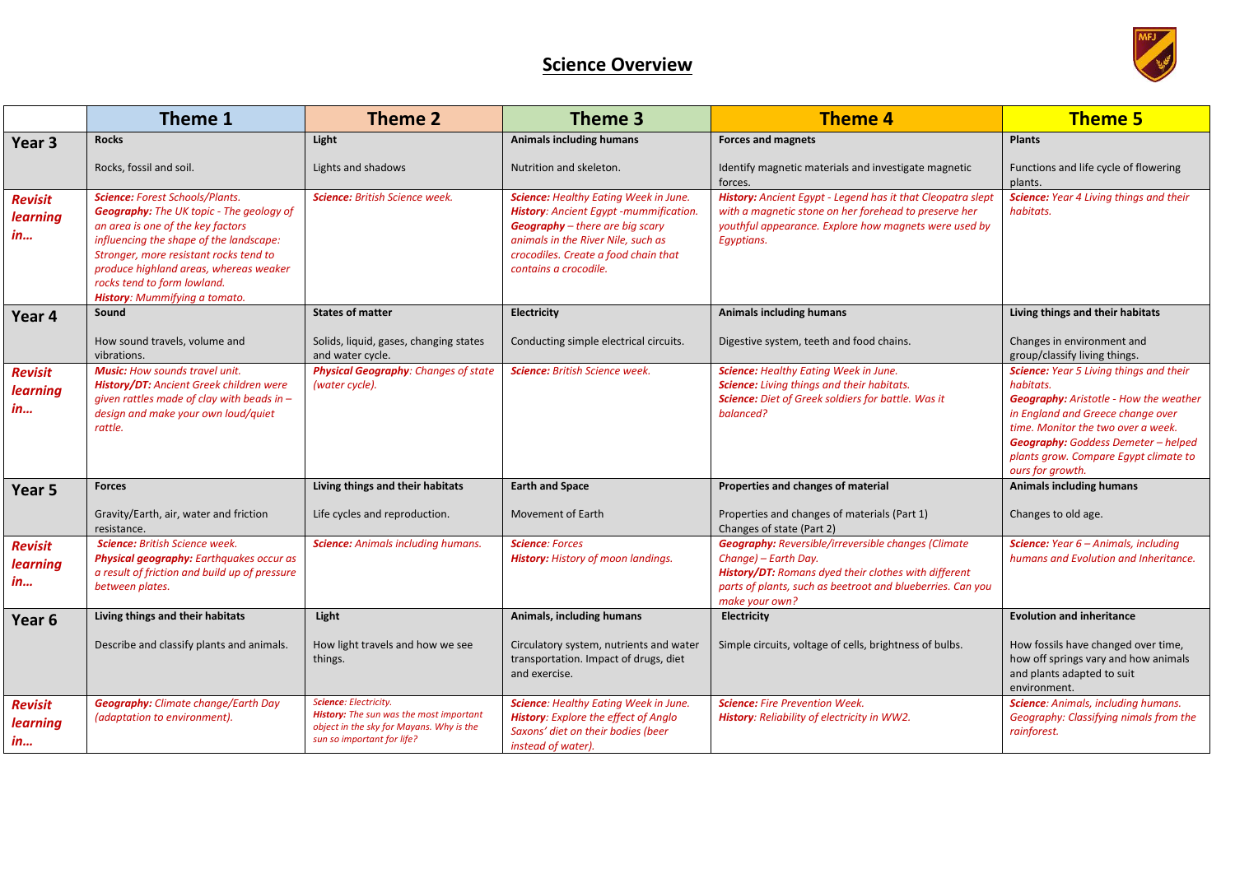## **Science Overview**



|                                                | Theme 1                                                                                                                                                                                                                                                                                                                       | <b>Theme 2</b>                                                                                                                             | Theme 3                                                                                                                                                                                                                                        | <b>Theme 4</b>                                                                                                                                                                                                             | <b>Theme 5</b>                                                                                                                                                                                                                                                                              |
|------------------------------------------------|-------------------------------------------------------------------------------------------------------------------------------------------------------------------------------------------------------------------------------------------------------------------------------------------------------------------------------|--------------------------------------------------------------------------------------------------------------------------------------------|------------------------------------------------------------------------------------------------------------------------------------------------------------------------------------------------------------------------------------------------|----------------------------------------------------------------------------------------------------------------------------------------------------------------------------------------------------------------------------|---------------------------------------------------------------------------------------------------------------------------------------------------------------------------------------------------------------------------------------------------------------------------------------------|
| Year 3                                         | <b>Rocks</b>                                                                                                                                                                                                                                                                                                                  | Light                                                                                                                                      | <b>Animals including humans</b>                                                                                                                                                                                                                | <b>Forces and magnets</b>                                                                                                                                                                                                  | <b>Plants</b>                                                                                                                                                                                                                                                                               |
|                                                | Rocks, fossil and soil.                                                                                                                                                                                                                                                                                                       | Lights and shadows                                                                                                                         | Nutrition and skeleton.                                                                                                                                                                                                                        | Identify magnetic materials and investigate magnetic<br>forces.                                                                                                                                                            | Functions and life cycle of flowering<br>plants.                                                                                                                                                                                                                                            |
| <b>Revisit</b><br>learning<br><i>in</i>        | <b>Science:</b> Forest Schools/Plants.<br><b>Geography:</b> The UK topic - The geology of<br>an area is one of the key factors<br>influencing the shape of the landscape:<br>Stronger, more resistant rocks tend to<br>produce highland areas, whereas weaker<br>rocks tend to form lowland.<br>History: Mummifying a tomato. | Science: British Science week.                                                                                                             | <b>Science: Healthy Eating Week in June.</b><br><b>History:</b> Ancient Eqypt -mummification.<br><b>Geography</b> - there are big scary<br>animals in the River Nile, such as<br>crocodiles. Create a food chain that<br>contains a crocodile. | History: Ancient Egypt - Legend has it that Cleopatra slept<br>with a magnetic stone on her forehead to preserve her<br>youthful appearance. Explore how magnets were used by<br>Egyptians.                                | Science: Year 4 Living things and their<br>habitats.                                                                                                                                                                                                                                        |
| Year 4                                         | Sound                                                                                                                                                                                                                                                                                                                         | <b>States of matter</b>                                                                                                                    | Electricity                                                                                                                                                                                                                                    | <b>Animals including humans</b>                                                                                                                                                                                            | Living things and their habitats                                                                                                                                                                                                                                                            |
|                                                | How sound travels, volume and<br>vibrations.                                                                                                                                                                                                                                                                                  | Solids, liquid, gases, changing states<br>and water cycle.                                                                                 | Conducting simple electrical circuits.                                                                                                                                                                                                         | Digestive system, teeth and food chains.                                                                                                                                                                                   | Changes in environment and<br>group/classify living things.                                                                                                                                                                                                                                 |
| <b>Revisit</b><br><b>learning</b><br>in        | <b>Music:</b> How sounds travel unit.<br>History/DT: Ancient Greek children were<br>given rattles made of clay with beads in $-$<br>design and make your own loud/quiet<br>rattle.                                                                                                                                            | Physical Geography: Changes of state<br>(water cycle).                                                                                     | Science: British Science week.                                                                                                                                                                                                                 | <b>Science: Healthy Eating Week in June.</b><br>Science: Living things and their habitats.<br>Science: Diet of Greek soldiers for battle. Was it<br>balanced?                                                              | Science: Year 5 Living things and their<br>habitats.<br><b>Geography:</b> Aristotle - How the weather<br>in England and Greece change over<br>time. Monitor the two over a week.<br><b>Geography:</b> Goddess Demeter - helped<br>plants grow. Compare Egypt climate to<br>ours for growth. |
| Year 5                                         | <b>Forces</b>                                                                                                                                                                                                                                                                                                                 | Living things and their habitats                                                                                                           | <b>Earth and Space</b>                                                                                                                                                                                                                         | Properties and changes of material                                                                                                                                                                                         | Animals including humans                                                                                                                                                                                                                                                                    |
|                                                | Gravity/Earth, air, water and friction<br>resistance.                                                                                                                                                                                                                                                                         | Life cycles and reproduction.                                                                                                              | Movement of Earth                                                                                                                                                                                                                              | Properties and changes of materials (Part 1)<br>Changes of state (Part 2)                                                                                                                                                  | Changes to old age.                                                                                                                                                                                                                                                                         |
| <b>Revisit</b><br><b>learning</b><br><i>in</i> | <b>Science:</b> British Science week.<br>Physical geography: Earthquakes occur as<br>a result of friction and build up of pressure<br>between plates.                                                                                                                                                                         | <b>Science:</b> Animals including humans.                                                                                                  | <b>Science: Forces</b><br><b>History:</b> History of moon landings.                                                                                                                                                                            | <b>Geography:</b> Reversible/irreversible changes (Climate<br>Change) - Earth Day.<br>History/DT: Romans dyed their clothes with different<br>parts of plants, such as beetroot and blueberries. Can you<br>make your own? | Science: Year 6 - Animals, including<br>humans and Evolution and Inheritance.                                                                                                                                                                                                               |
| Year 6                                         | Living things and their habitats                                                                                                                                                                                                                                                                                              | Light                                                                                                                                      | Animals, including humans                                                                                                                                                                                                                      | <b>Electricity</b>                                                                                                                                                                                                         | <b>Evolution and inheritance</b>                                                                                                                                                                                                                                                            |
|                                                | Describe and classify plants and animals.                                                                                                                                                                                                                                                                                     | How light travels and how we see<br>things.                                                                                                | Circulatory system, nutrients and water<br>transportation. Impact of drugs, diet<br>and exercise.                                                                                                                                              | Simple circuits, voltage of cells, brightness of bulbs.                                                                                                                                                                    | How fossils have changed over time,<br>how off springs vary and how animals<br>and plants adapted to suit<br>environment.                                                                                                                                                                   |
| <b>Revisit</b><br><b>learning</b><br><i>in</i> | <b>Geography:</b> Climate change/Earth Day<br>(adaptation to environment).                                                                                                                                                                                                                                                    | Science: Electricity.<br>History: The sun was the most important<br>object in the sky for Mayans. Why is the<br>sun so important for life? | <b>Science: Healthy Eating Week in June.</b><br><b>History:</b> Explore the effect of Anglo<br>Saxons' diet on their bodies (beer<br>instead of water).                                                                                        | <b>Science:</b> Fire Prevention Week.<br>History: Reliability of electricity in WW2.                                                                                                                                       | <b>Science:</b> Animals, including humans.<br>Geography: Classifying nimals from the<br>rainforest.                                                                                                                                                                                         |